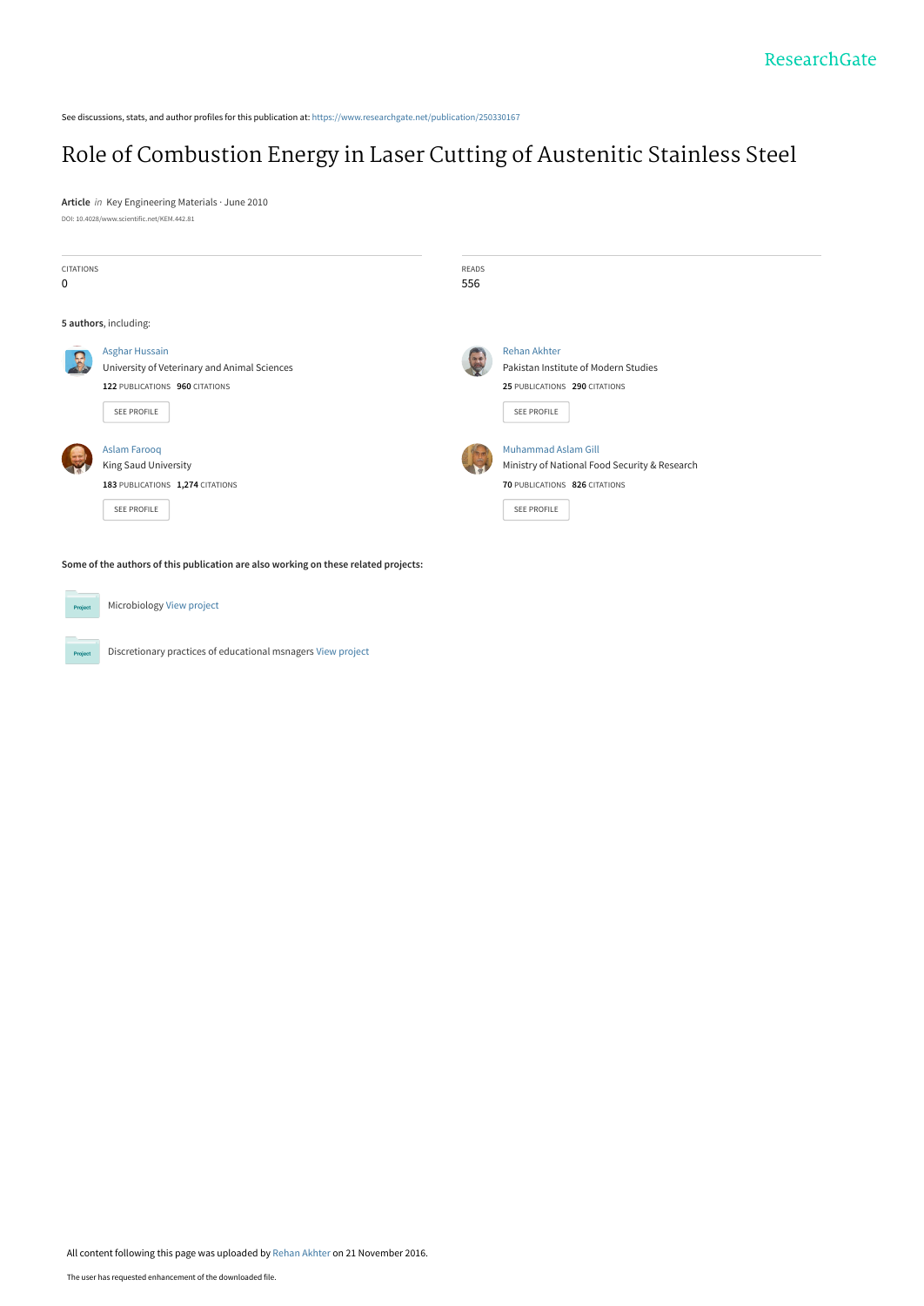See discussions, stats, and author profiles for this publication at: [https://www.researchgate.net/publication/250330167](https://www.researchgate.net/publication/250330167_Role_of_Combustion_Energy_in_Laser_Cutting_of_Austenitic_Stainless_Steel?enrichId=rgreq-2f7536e5629a050fba5ec7e1047b088f-XXX&enrichSource=Y292ZXJQYWdlOzI1MDMzMDE2NztBUzo0MzA5MjcxODk5NDIyNzJAMTQ3OTc1MjQ1NjAzNw%3D%3D&el=1_x_2&_esc=publicationCoverPdf)

# [Role of Combustion Energy in Laser Cutting of Austenitic Stainless Steel](https://www.researchgate.net/publication/250330167_Role_of_Combustion_Energy_in_Laser_Cutting_of_Austenitic_Stainless_Steel?enrichId=rgreq-2f7536e5629a050fba5ec7e1047b088f-XXX&enrichSource=Y292ZXJQYWdlOzI1MDMzMDE2NztBUzo0MzA5MjcxODk5NDIyNzJAMTQ3OTc1MjQ1NjAzNw%3D%3D&el=1_x_3&_esc=publicationCoverPdf)

**Article** in Key Engineering Materials · June 2010 DOI: 10.4028/www.scientific.net/KEM.442.81

| <b>CITATIONS</b><br>0                                                               |                                                                                                                 | READS<br>556 |                                                                                                                                    |  |
|-------------------------------------------------------------------------------------|-----------------------------------------------------------------------------------------------------------------|--------------|------------------------------------------------------------------------------------------------------------------------------------|--|
|                                                                                     | 5 authors, including:                                                                                           |              |                                                                                                                                    |  |
|                                                                                     | Asghar Hussain<br>University of Veterinary and Animal Sciences<br>122 PUBLICATIONS 960 CITATIONS<br>SEE PROFILE |              | <b>Rehan Akhter</b><br>Pakistan Institute of Modern Studies<br>25 PUBLICATIONS 290 CITATIONS<br>SEE PROFILE                        |  |
|                                                                                     | <b>Aslam Farooq</b><br><b>King Saud University</b><br>183 PUBLICATIONS 1,274 CITATIONS<br><b>SEE PROFILE</b>    |              | <b>Muhammad Aslam Gill</b><br>Ministry of National Food Security & Research<br>70 PUBLICATIONS 826 CITATIONS<br><b>SEE PROFILE</b> |  |
| Some of the authors of this publication are also working on these related projects: |                                                                                                                 |              |                                                                                                                                    |  |

**Project** Microbiology [View project](https://www.researchgate.net/project/Microbiology-13?enrichId=rgreq-2f7536e5629a050fba5ec7e1047b088f-XXX&enrichSource=Y292ZXJQYWdlOzI1MDMzMDE2NztBUzo0MzA5MjcxODk5NDIyNzJAMTQ3OTc1MjQ1NjAzNw%3D%3D&el=1_x_9&_esc=publicationCoverPdf) Project Discretionary practices of educational msnagers [View project](https://www.researchgate.net/project/Discretionary-practices-of-educational-msnagers?enrichId=rgreq-2f7536e5629a050fba5ec7e1047b088f-XXX&enrichSource=Y292ZXJQYWdlOzI1MDMzMDE2NztBUzo0MzA5MjcxODk5NDIyNzJAMTQ3OTc1MjQ1NjAzNw%3D%3D&el=1_x_9&_esc=publicationCoverPdf)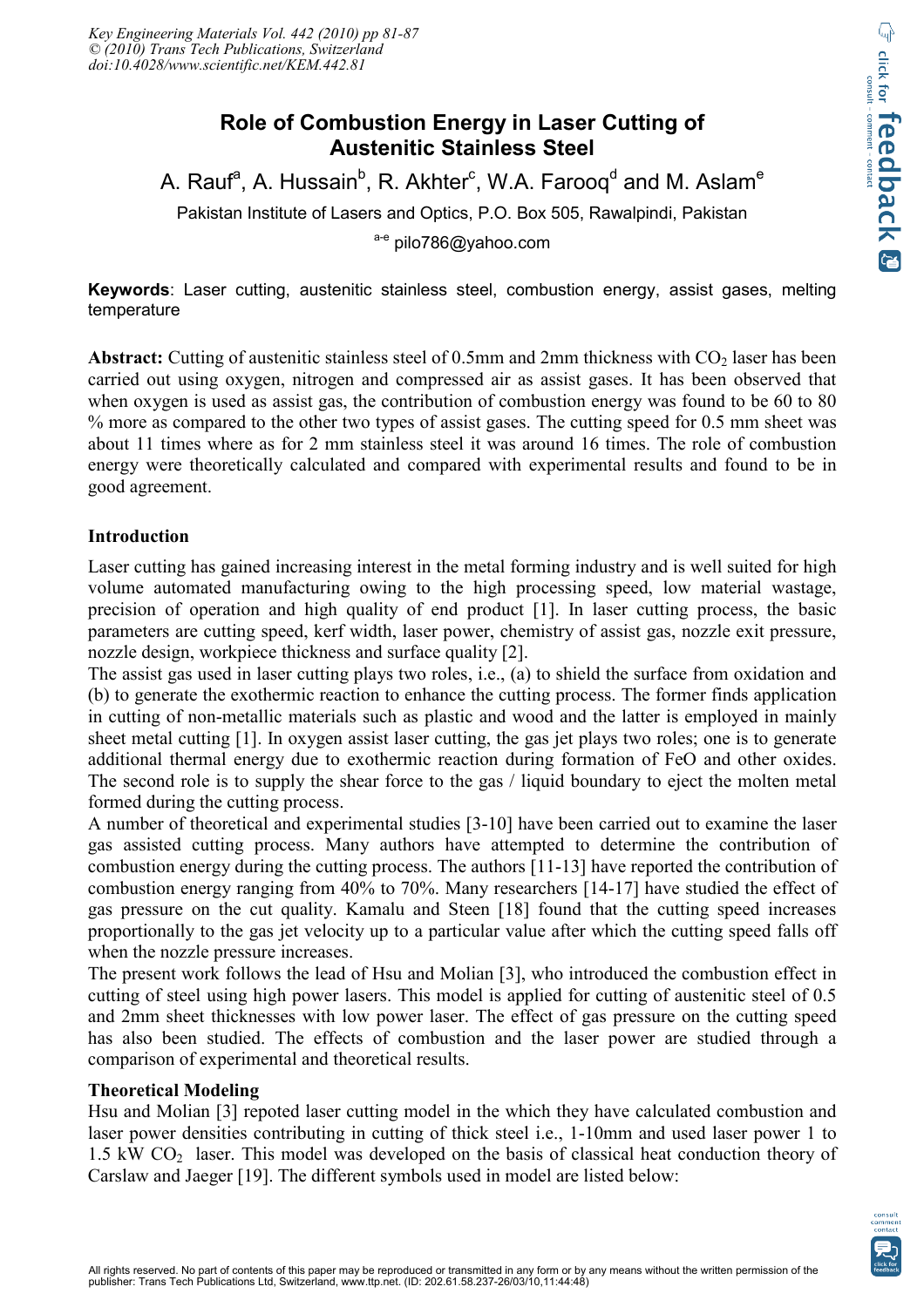# **Role of Combustion Energy in Laser Cutting of Austenitic Stainless Steel**

A. Rauf<sup>a</sup>, A. Hussain<sup>b</sup>, R. Akhter<sup>c</sup>, W.A. Farooq<sup>d</sup> and M. Aslam<sup>e</sup>

Pakistan Institute of Lasers and Optics, P.O. Box 505, Rawalpindi, Pakistan

a-e pilo786@yahoo.com

**Keywords**: Laser cutting, austenitic stainless steel, combustion energy, assist gases, melting temperature

Abstract: Cutting of austenitic stainless steel of 0.5mm and 2mm thickness with CO<sub>2</sub> laser has been carried out using oxygen, nitrogen and compressed air as assist gases. It has been observed that when oxygen is used as assist gas, the contribution of combustion energy was found to be 60 to 80 % more as compared to the other two types of assist gases. The cutting speed for 0.5 mm sheet was about 11 times where as for 2 mm stainless steel it was around 16 times. The role of combustion energy were theoretically calculated and compared with experimental results and found to be in good agreement.

## **Introduction**

Laser cutting has gained increasing interest in the metal forming industry and is well suited for high volume automated manufacturing owing to the high processing speed, low material wastage, precision of operation and high quality of end product [1]. In laser cutting process, the basic parameters are cutting speed, kerf width, laser power, chemistry of assist gas, nozzle exit pressure, nozzle design, workpiece thickness and surface quality [2].

The assist gas used in laser cutting plays two roles, i.e., (a) to shield the surface from oxidation and (b) to generate the exothermic reaction to enhance the cutting process. The former finds application in cutting of non-metallic materials such as plastic and wood and the latter is employed in mainly sheet metal cutting [1]. In oxygen assist laser cutting, the gas jet plays two roles; one is to generate additional thermal energy due to exothermic reaction during formation of FeO and other oxides. The second role is to supply the shear force to the gas / liquid boundary to eject the molten metal formed during the cutting process.

A number of theoretical and experimental studies [3-10] have been carried out to examine the laser gas assisted cutting process. Many authors have attempted to determine the contribution of combustion energy during the cutting process. The authors [11-13] have reported the contribution of combustion energy ranging from 40% to 70%. Many researchers [14-17] have studied the effect of gas pressure on the cut quality. Kamalu and Steen [18] found that the cutting speed increases proportionally to the gas jet velocity up to a particular value after which the cutting speed falls off when the nozzle pressure increases.

The present work follows the lead of Hsu and Molian [3], who introduced the combustion effect in cutting of steel using high power lasers. This model is applied for cutting of austenitic steel of 0.5 and 2mm sheet thicknesses with low power laser. The effect of gas pressure on the cutting speed has also been studied. The effects of combustion and the laser power are studied through a comparison of experimental and theoretical results.

#### **Theoretical Modeling**

Hsu and Molian [3] repoted laser cutting model in the which they have calculated combustion and laser power densities contributing in cutting of thick steel i.e., 1-10mm and used laser power 1 to  $1.5 \text{ kW CO}_2$  laser. This model was developed on the basis of classical heat conduction theory of Carslaw and Jaeger [19]. The different symbols used in model are listed below: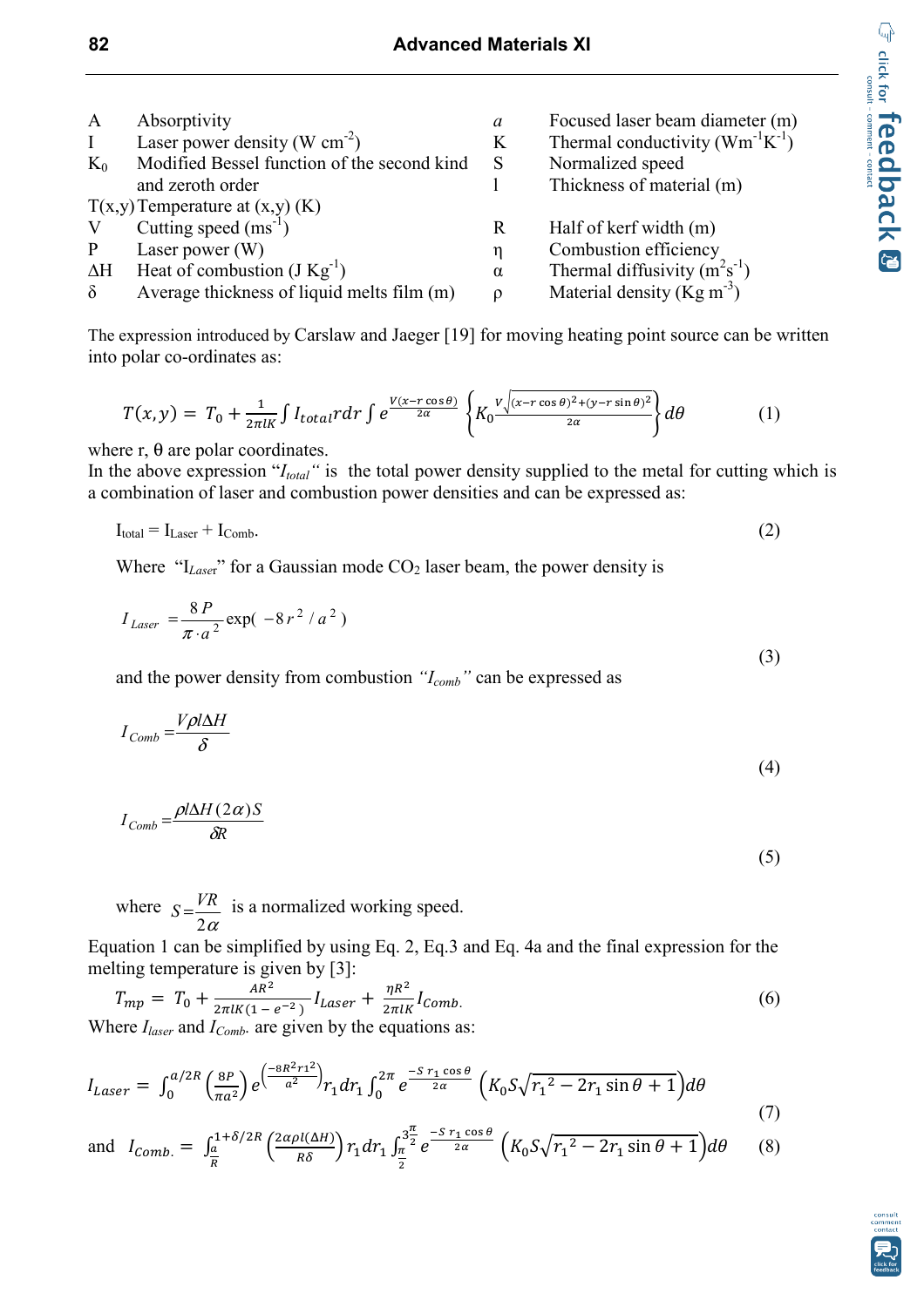| $\boldsymbol{A}$ | Absorptivity                                | a        | Focused laser beam diameter (m)         |  |
|------------------|---------------------------------------------|----------|-----------------------------------------|--|
| $\bf{I}$         | Laser power density (W cm <sup>-2</sup> )   | K        | Thermal conductivity $(Wm^{-1}K^{-1})$  |  |
| $K_0$            | Modified Bessel function of the second kind | S        | Normalized speed                        |  |
|                  | and zeroth order                            |          | Thickness of material (m)               |  |
|                  | $T(x,y)$ Temperature at $(x,y)$ (K)         |          |                                         |  |
| V                | Cutting speed $(ms^{-1})$                   | R        | Half of kerf width (m)                  |  |
| P                | Laser power $(W)$                           | η        | Combustion efficiency                   |  |
| $\Delta H$       | Heat of combustion $(J Kg^{-1})$            | $\alpha$ | Thermal diffusivity $(m^2s^{-1})$       |  |
| $\delta$         | Average thickness of liquid melts film (m)  |          | Material density ( $\text{Kg m}^{-3}$ ) |  |

The expression introduced by Carslaw and Jaeger [19] for moving heating point source can be written into polar co-ordinates as:

$$
T(x,y) = T_0 + \frac{1}{2\pi l \kappa} \int I_{total} r dr \int e^{\frac{V(x - r \cos \theta)}{2\alpha}} \left\{ K_0 \frac{V \sqrt{(x - r \cos \theta)^2 + (y - r \sin \theta)^2}}{2\alpha} \right\} d\theta \tag{1}
$$

where  $r$ ,  $\theta$  are polar coordinates.

In the above expression "*I<sub>total</sub>*" is the total power density supplied to the metal for cutting which is a combination of laser and combustion power densities and can be expressed as:

$$
I_{\text{total}} = I_{\text{Laser}} + I_{\text{Comb}}.\tag{2}
$$

Where "I<sub>Laser</sub>" for a Gaussian mode CO<sub>2</sub> laser beam, the power density is

$$
I_{Laser} = \frac{8P}{\pi \cdot a^2} \exp(-8r^2 / a^2)
$$
 (3)

and the power density from combustion *"Icomb"* can be expressed as

$$
I_{Comb} = \frac{V\rho l\Delta H}{\delta} \tag{4}
$$

$$
I_{Comb} = \frac{\rho I \Delta H (2\alpha) S}{\delta R}
$$

where  $2\alpha$  $S = \frac{VR}{2}$  is a normalized working speed.

Equation 1 can be simplified by using Eq. 2, Eq.3 and Eq. 4a and the final expression for the melting temperature is given by [3]:

$$
T_{mp} = T_0 + \frac{AR^2}{2\pi l K (1 - e^{-2})} I_{Laser} + \frac{\eta R^2}{2\pi l K} I_{Comb.}
$$
\n(6)

\nWhere  $I_1$  and  $I_2$ , are given by the equations as:

Where *Ilaser* and *IComb.* are given by the equations as:

$$
I_{Laser} = \int_0^{a/2R} \left(\frac{8P}{\pi a^2}\right) e^{\left(\frac{-8R^2 r t^2}{a^2}\right)} r_1 dr_1 \int_0^{2\pi} e^{\frac{-S \ r_1 \cos \theta}{2\alpha}} \left(K_0 S \sqrt{r_1^2 - 2r_1 \sin \theta + 1}\right) d\theta \tag{7}
$$

and 
$$
I_{Comb.} = \int_{\frac{a}{R}}^{1+\delta/2R} \left(\frac{2\alpha\rho l(\Delta H)}{R\delta}\right) r_1 dr_1 \int_{\frac{\pi}{2}}^{3\frac{\pi}{2}} e^{-\frac{S r_1 \cos\theta}{2\alpha}} \left(K_0 S \sqrt{r_1^2 - 2r_1 \sin\theta + 1}\right) d\theta \qquad (8)
$$



(5)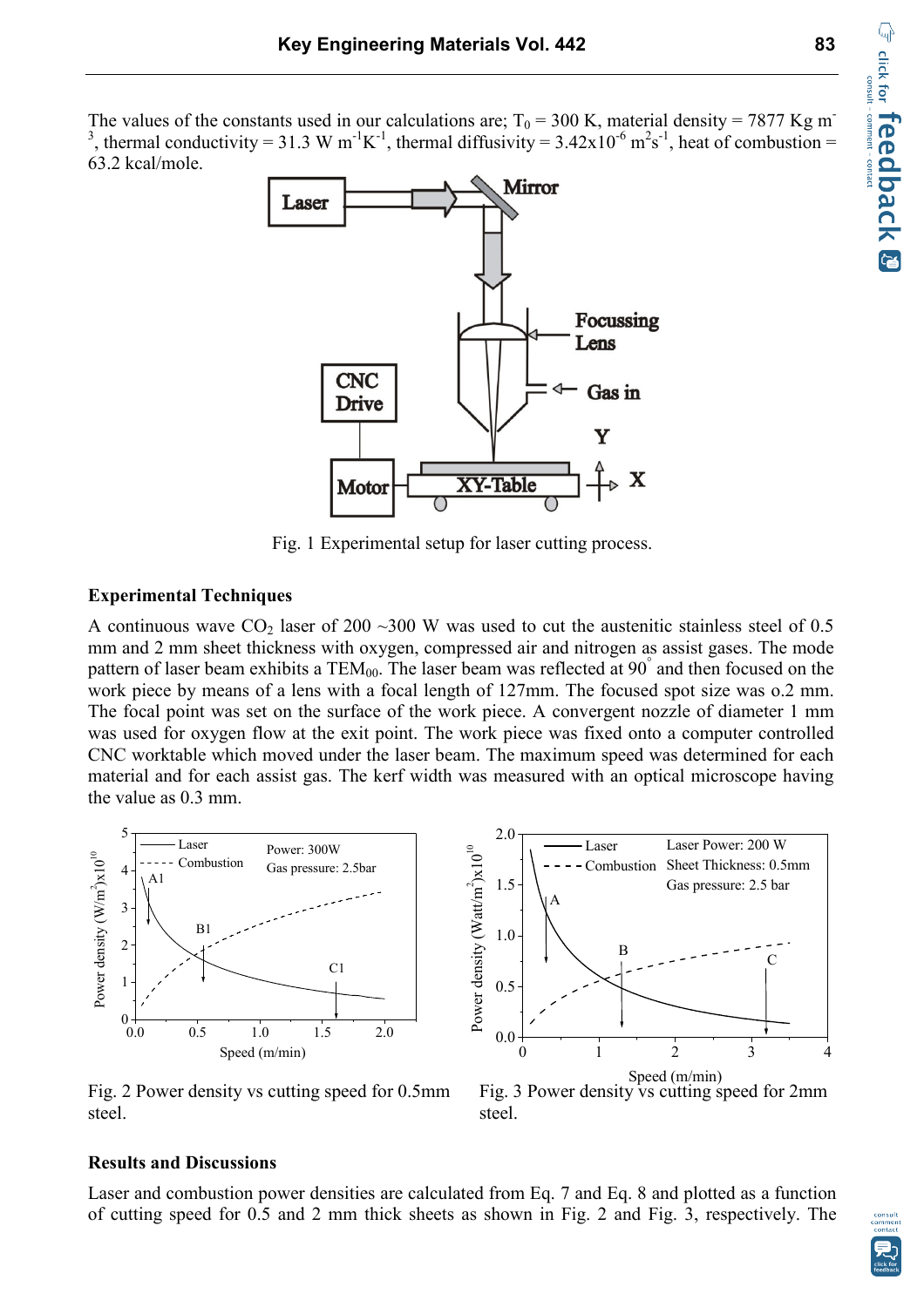The values of the constants used in our calculations are;  $T_0 = 300$  K, material density = 7877 Kg m<sup>-</sup> <sup>3</sup>, thermal conductivity = 31.3 W m<sup>-1</sup>K<sup>-1</sup>, thermal diffusivity = 3.42x10<sup>-6</sup> m<sup>2</sup>s<sup>-1</sup>, heat of combustion = 63.2 kcal/mole.



Fig. 1 Experimental setup for laser cutting process.

## **Experimental Techniques**

A continuous wave  $CO_2$  laser of 200 ~300 W was used to cut the austenitic stainless steel of 0.5 mm and 2 mm sheet thickness with oxygen, compressed air and nitrogen as assist gases. The mode pattern of laser beam exhibits a  $TEM_{00}$ . The laser beam was reflected at  $90^{\degree}$  and then focused on the work piece by means of a lens with a focal length of 127mm. The focused spot size was o.2 mm. The focal point was set on the surface of the work piece. A convergent nozzle of diameter 1 mm was used for oxygen flow at the exit point. The work piece was fixed onto a computer controlled CNC worktable which moved under the laser beam. The maximum speed was determined for each material and for each assist gas. The kerf width was measured with an optical microscope having the value as 0.3 mm.



Fig. 2 Power density vs cutting speed for 0.5mm Fig. 3 Power density vs cutting speed for 2mm steel. Steel.



#### **Results and Discussions**

Laser and combustion power densities are calculated from Eq. 7 and Eq. 8 and plotted as a function of cutting speed for 0.5 and 2 mm thick sheets as shown in Fig. 2 and Fig. 3, respectively. The



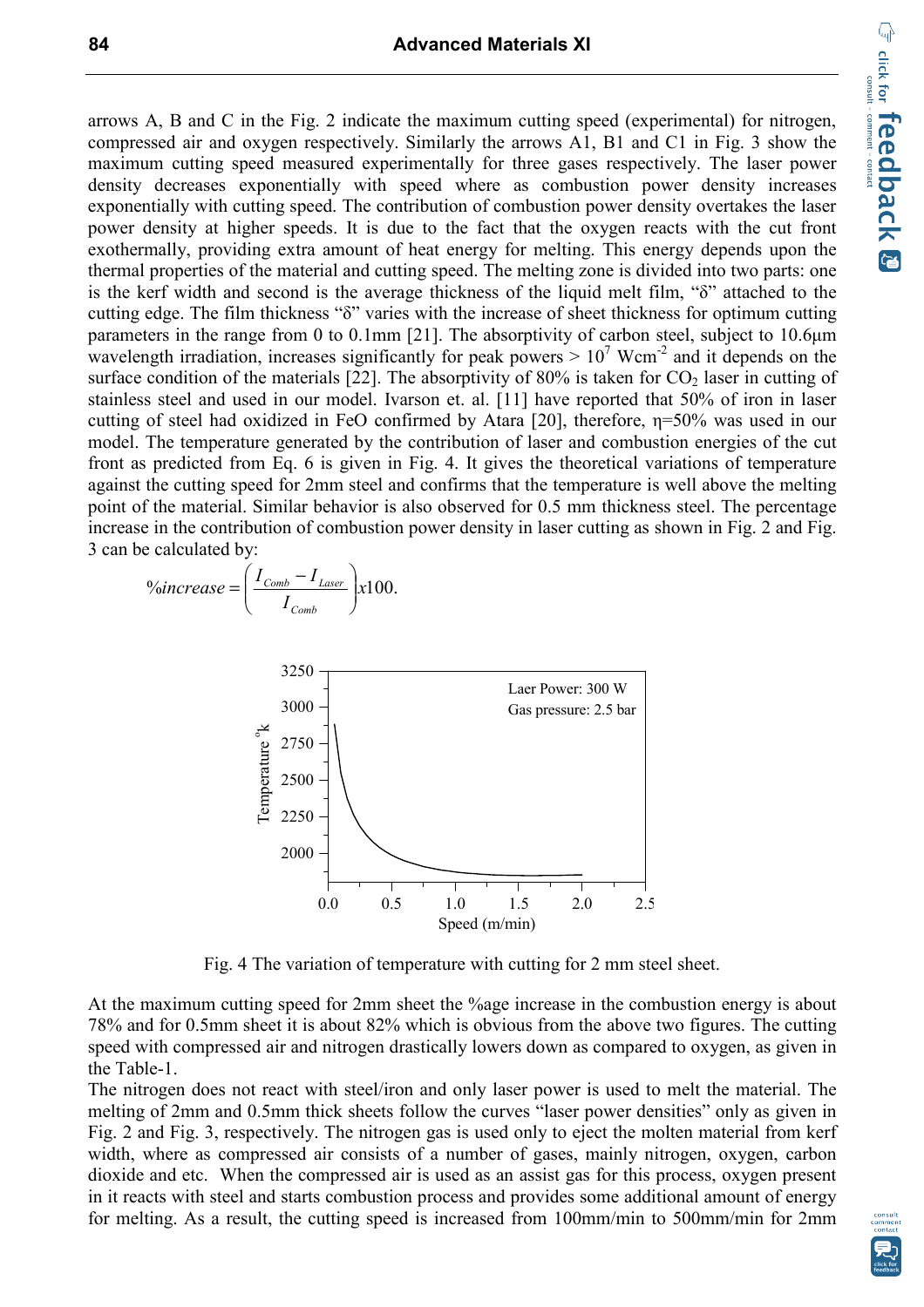arrows A, B and C in the Fig. 2 indicate the maximum cutting speed (experimental) for nitrogen, compressed air and oxygen respectively. Similarly the arrows A1, B1 and C1 in Fig. 3 show the maximum cutting speed measured experimentally for three gases respectively. The laser power density decreases exponentially with speed where as combustion power density increases exponentially with cutting speed. The contribution of combustion power density overtakes the laser power density at higher speeds. It is due to the fact that the oxygen reacts with the cut front exothermally, providing extra amount of heat energy for melting. This energy depends upon the thermal properties of the material and cutting speed. The melting zone is divided into two parts: one is the kerf width and second is the average thickness of the liquid melt film, "δ" attached to the cutting edge. The film thickness "δ" varies with the increase of sheet thickness for optimum cutting parameters in the range from 0 to 0.1mm [21]. The absorptivity of carbon steel, subject to 10.6µm wavelength irradiation, increases significantly for peak powers  $> 10<sup>7</sup>$  Wcm<sup>-2</sup> and it depends on the surface condition of the materials [22]. The absorptivity of 80% is taken for  $CO<sub>2</sub>$  laser in cutting of stainless steel and used in our model. Ivarson et. al. [11] have reported that 50% of iron in laser cutting of steel had oxidized in FeO confirmed by Atara [20], therefore, η=50% was used in our model. The temperature generated by the contribution of laser and combustion energies of the cut front as predicted from Eq. 6 is given in Fig. 4. It gives the theoretical variations of temperature against the cutting speed for 2mm steel and confirms that the temperature is well above the melting point of the material. Similar behavior is also observed for 0.5 mm thickness steel. The percentage increase in the contribution of combustion power density in laser cutting as shown in Fig. 2 and Fig. 3 can be calculated by:

$$
\% increase = \left(\frac{I_{Comb} - I_{Laser}}{I_{Comb}}\right) \times 100.
$$



Fig. 4 The variation of temperature with cutting for 2 mm steel sheet.

At the maximum cutting speed for 2mm sheet the %age increase in the combustion energy is about 78% and for 0.5mm sheet it is about 82% which is obvious from the above two figures. The cutting speed with compressed air and nitrogen drastically lowers down as compared to oxygen, as given in the Table-1.

The nitrogen does not react with steel/iron and only laser power is used to melt the material. The melting of 2mm and 0.5mm thick sheets follow the curves "laser power densities" only as given in Fig. 2 and Fig. 3, respectively. The nitrogen gas is used only to eject the molten material from kerf width, where as compressed air consists of a number of gases, mainly nitrogen, oxygen, carbon dioxide and etc. When the compressed air is used as an assist gas for this process, oxygen present in it reacts with steel and starts combustion process and provides some additional amount of energy for melting. As a result, the cutting speed is increased from 100mm/min to 500mm/min for 2mm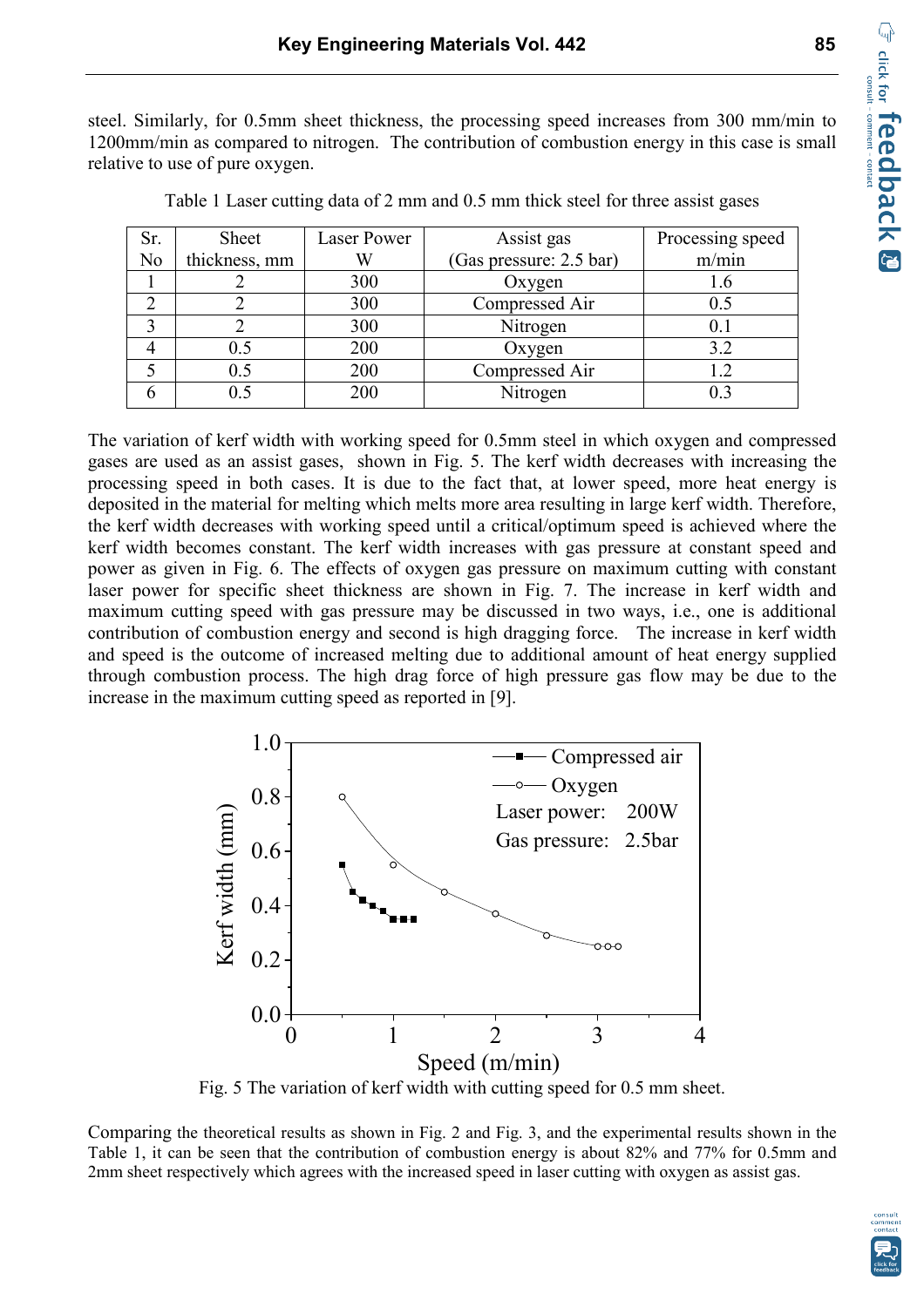steel. Similarly, for 0.5mm sheet thickness, the processing speed increases from 300 mm/min to 1200mm/min as compared to nitrogen. The contribution of combustion energy in this case is small relative to use of pure oxygen.

| Sr.            | Sheet         | <b>Laser Power</b> | Assist gas              | Processing speed |
|----------------|---------------|--------------------|-------------------------|------------------|
| N <sub>o</sub> | thickness, mm |                    | (Gas pressure: 2.5 bar) | m/min            |
|                |               | 300                | Oxygen                  | 1.6              |
|                |               | 300                | Compressed Air          | 0.5              |
|                |               | 300                | Nitrogen                | 0.1              |
|                | 0.5           | 200                | Oxygen                  | 3.2              |
|                | 0.5           | 200                | Compressed Air          |                  |
|                | 0.5           | 200                | Nitrogen                | 03               |

Table 1 Laser cutting data of 2 mm and 0.5 mm thick steel for three assist gases

The variation of kerf width with working speed for 0.5mm steel in which oxygen and compressed gases are used as an assist gases, shown in Fig. 5. The kerf width decreases with increasing the processing speed in both cases. It is due to the fact that, at lower speed, more heat energy is deposited in the material for melting which melts more area resulting in large kerf width. Therefore, the kerf width decreases with working speed until a critical/optimum speed is achieved where the kerf width becomes constant. The kerf width increases with gas pressure at constant speed and power as given in Fig. 6. The effects of oxygen gas pressure on maximum cutting with constant laser power for specific sheet thickness are shown in Fig. 7. The increase in kerf width and maximum cutting speed with gas pressure may be discussed in two ways, i.e., one is additional contribution of combustion energy and second is high dragging force. The increase in kerf width and speed is the outcome of increased melting due to additional amount of heat energy supplied through combustion process. The high drag force of high pressure gas flow may be due to the increase in the maximum cutting speed as reported in [9].



Fig. 5 The variation of kerf width with cutting speed for 0.5 mm sheet.

Comparing the theoretical results as shown in Fig. 2 and Fig. 3, and the experimental results shown in the Table 1, it can be seen that the contribution of combustion energy is about 82% and 77% for 0.5mm and 2mm sheet respectively which agrees with the increased speed in laser cutting with oxygen as assist gas.

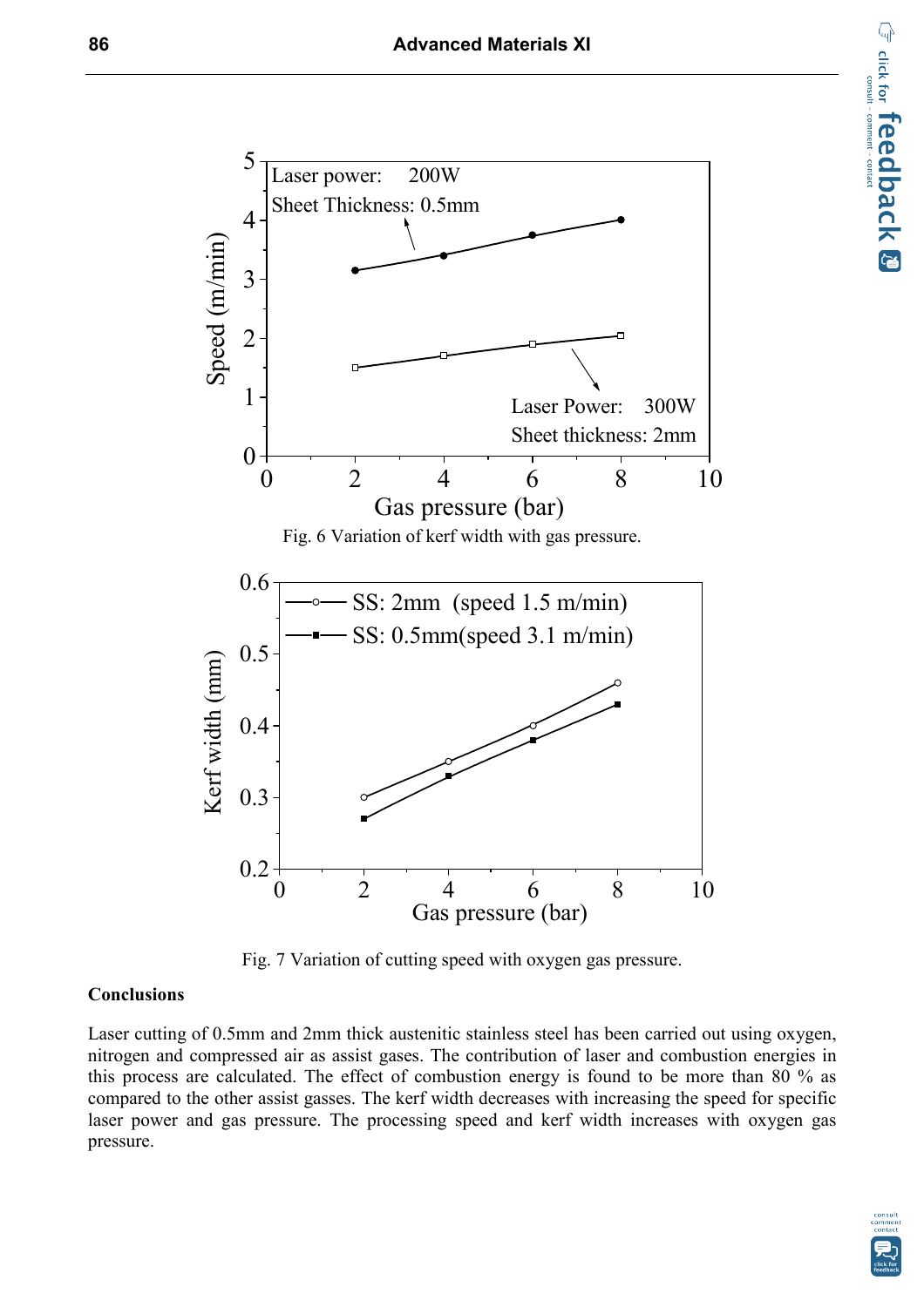

Fig. 7 Variation of cutting speed with oxygen gas pressure.

# **Conclusions**

Laser cutting of 0.5mm and 2mm thick austenitic stainless steel has been carried out using oxygen, nitrogen and compressed air as assist gases. The contribution of laser and combustion energies in this process are calculated. The effect of combustion energy is found to be more than 80 % as compared to the other assist gasses. The kerf width decreases with increasing the speed for specific laser power and gas pressure. The processing speed and kerf width increases with oxygen gas pressure.